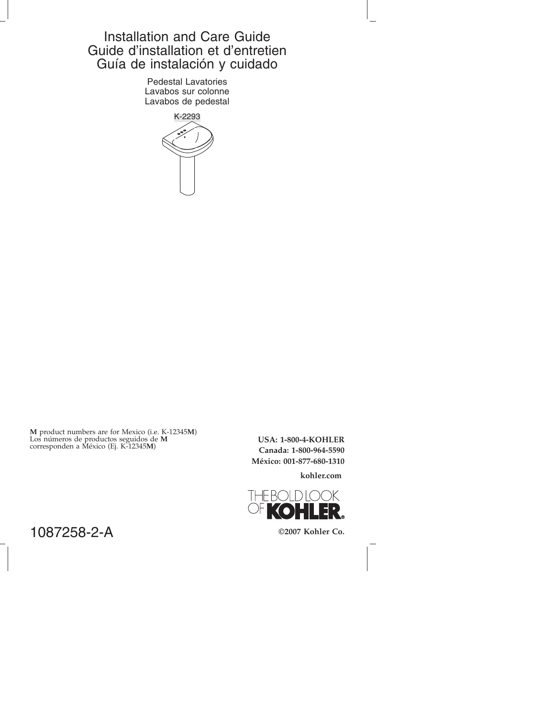## Installation and Care Guide Guide d'installation et d'entretien Guía de instalación y cuidado

Pedestal Lavatories Lavabos sur colonne Lavabos de pedestal



**M** product numbers are for Mexico (i.e. K-12345**M**) Los números de productos seguidos de **M** corresponden a México (Ej. K-12345**M**)

**USA: 1-800-4-KOHLER Canada: 1-800-964-5590 México: 001-877-680-1310**

**kohler.com**



**©2007 Kohler Co.**

1087258-2-A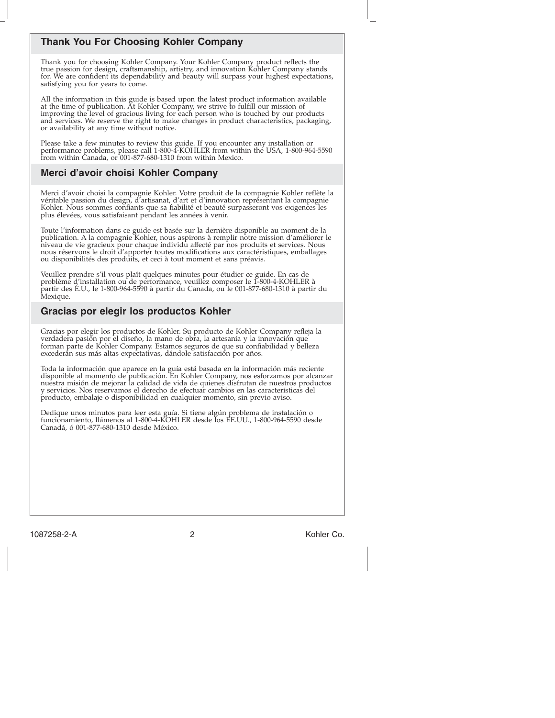## **Thank You For Choosing Kohler Company**

Thank you for choosing Kohler Company. Your Kohler Company product reflects the true passion for design, craftsmanship, artistry, and innovation Kohler Company stands for. We are confident its dependability and beauty will surpass your highest expectations, satisfying you for years to come.

All the information in this guide is based upon the latest product information available at the time of publication. At Kohler Company, we strive to fulfill our mission of improving the level of gracious living for each person who is touched by our products and services. We reserve the right to make changes in product characteristics, packaging, or availability at any time without notice.

Please take a few minutes to review this guide. If you encounter any installation or<br>performance problems, please call 1-800-4-KOHLER from within the USA, 1-800-964-5590<br>from within Canada, or 001-877-680-1310 from within

## **Merci d'avoir choisi Kohler Company**

Merci d'avoir choisi la compagnie Kohler. Votre produit de la compagnie Kohler reflète la véritable passion du design, d'artisanat, d'art et d'innovation représentant la compagnie Kohler. Nous sommes confiants que sa fiabilité et beauté surpasseront vos exigences les plus élevées, vous satisfaisant pendant les années à venir.

Toute l'information dans ce guide est basée sur la dernière disponible au moment de la publication. A la compagnie Kohler, nous aspirons à remplir notre mission d'améliorer le niveau de vie gracieux pour chaque individu affecté par nos produits et services. Nous nous réservons le droit d'apporter toutes modifications aux caractéristiques, emballages ou disponibilités des produits, et ceci à tout moment et sans préavis.

Veuillez prendre s'il vous plaît quelques minutes pour étudier ce guide. En cas de problème d'installation ou de performance, veuillez composer le 1-800-4-KOHLER à partir des É.U., le 1-800-964-5590 à partir du Canada, ou le 001-877-680-1310 à partir du Mexique.

#### **Gracias por elegir los productos Kohler**

Gracias por elegir los productos de Kohler. Su producto de Kohler Company refleja la verdadera pasión por el diseño, la mano de obra, la artesanía y la innovación que forman parte de Kohler Company. Estamos seguros de que su confiabilidad y belleza excederán sus más altas expectativas, dándole satisfacción por años.

Toda la información que aparece en la guía está basada en la información más reciente disponible al momento de publicación. En Kohler Company, nos esforzamos por alcanzar nuestra misión de mejorar la calidad de vida de quienes disfrutan de nuestros productos y servicios. Nos reservamos el derecho de efectuar cambios en las características del producto, embalaje o disponibilidad en cualquier momento, sin previo aviso.

Dedique unos minutos para leer esta guía. Si tiene algún problema de instalación o funcionamiento, llámenos al 1-800-4-KOHLER desde los EE.UU., 1-800-964-5590 desde Canadá, ó 001-877-680-1310 desde México.

1087258-2-A 2 Kohler Co.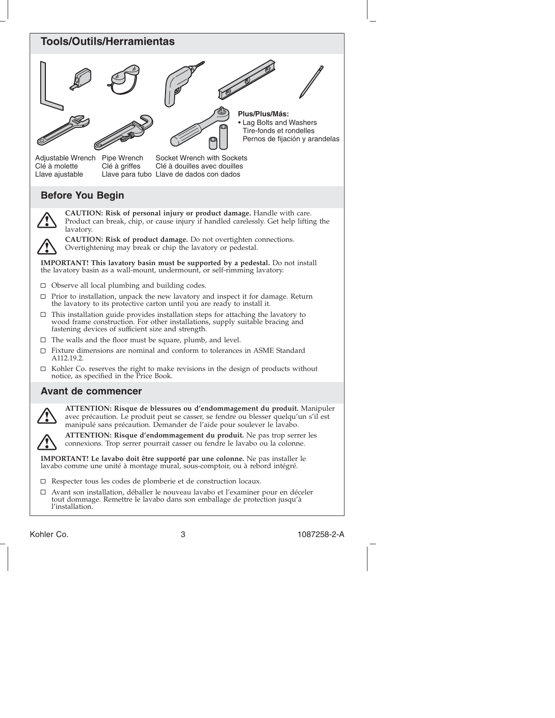

Kohler Co. 3 1087258-2-A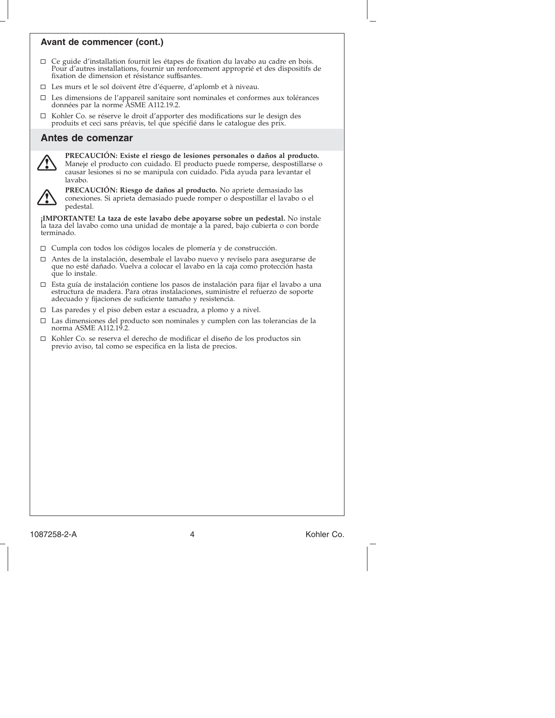#### **Avant de commencer (cont.)**

- $\Box$  Ce guide d'installation fournit les étapes de fixation du lavabo au cadre en bois. Pour d'autres installations, fournir un renforcement approprié et des dispositifs de fixation de dimension et résistance suffisantes
- Les murs et le sol doivent être d'équerre, d'aplomb et à niveau.
- $\Box$ Les dimensions de l'appareil sanitaire sont nominales et conformes aux tolérances données par la norme ASME A112.19.2.
- $\Box~$ Kohler Co. se réserve le droit d'apporter des modifications sur le design des produits et ceci sans préavis, tel que spécifié dans le catalogue des prix.

#### **Antes de comenzar**



**PRECAUCIÓN: Existe el riesgo de lesiones personales o daños al producto.** Maneje el producto con cuidado. El producto puede romperse, despostillarse o causar lesiones si no se manipula con cuidado. Pida ayuda para levantar el lavabo.



**PRECAUCIÓN: Riesgo de daños al producto.** No apriete demasiado las conexiones. Si aprieta demasiado puede romper o despostillar el lavabo o el pedestal.

**¡IMPORTANTE! La taza de este lavabo debe apoyarse sobre un pedestal.** No instale la taza del lavabo como una unidad de montaje a la pared, bajo cubierta o con borde terminado.

- Cumpla con todos los códigos locales de plomería y de construcción.
- Antes de la instalación, desembale el lavabo nuevo y revíselo para asegurarse de que no esté dañado. Vuelva a colocar el lavabo en la caja como protección hasta que lo instale.
- Esta guía de instalación contiene los pasos de instalación para fijar el lavabo a una estructura de madera. Para otras instalaciones, suministre el refuerzo de soporte adecuado y fijaciones de suficiente tamaño y resistencia.
- $\Box$  Las paredes y el piso deben estar a escuadra, a plomo y a nivel.
- Las dimensiones del producto son nominales y cumplen con las tolerancias de la norma ASME A112.19.2.
- □ Kohler Co. se reserva el derecho de modificar el diseño de los productos sin previo aviso, tal como se especifica en la lista de precios.

1087258-2-A 4 Kohler Co.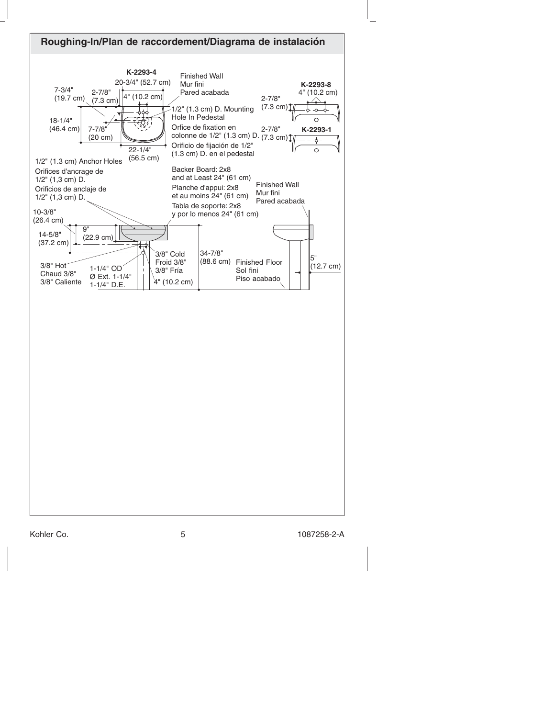

Kohler Co. 6 1087258-2-A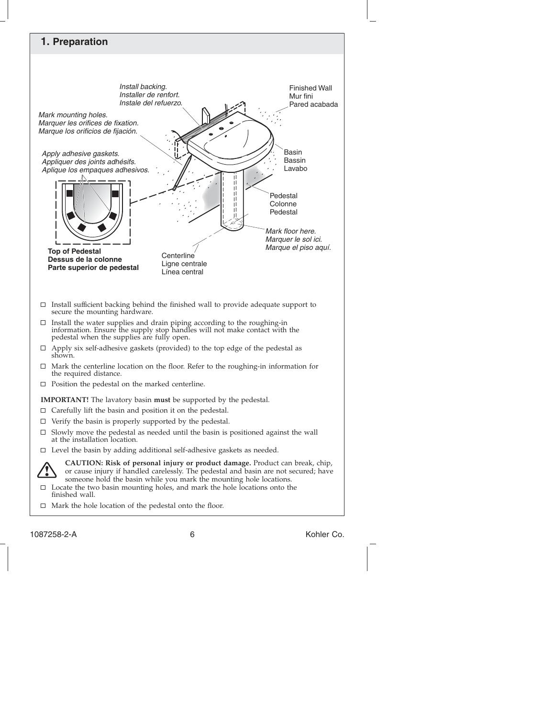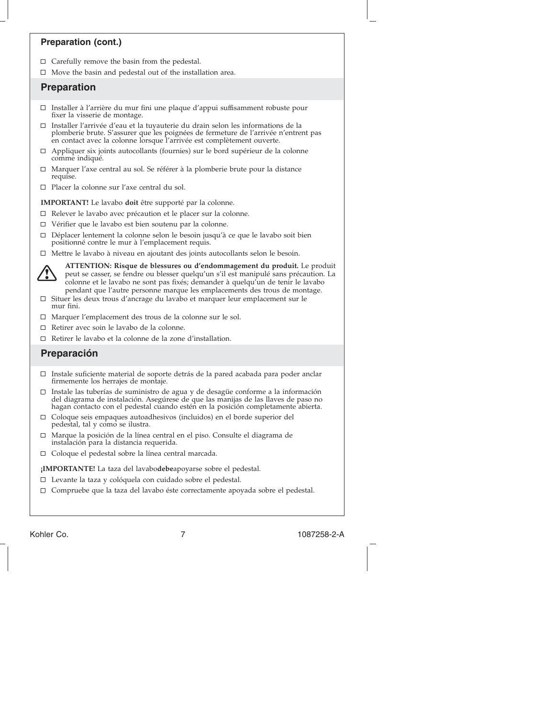#### **Preparation (cont.)**

- $\Box$  Carefully remove the basin from the pedestal.
- $\Box$  Move the basin and pedestal out of the installation area.

#### **Preparation**

- $\Box$  Installer à l'arrière du mur fini une plaque d'appui suffisamment robuste pour fixer la visserie de montage.
- Installer l'arrivée d'eau et la tuyauterie du drain selon les informations de la  $\Box$ plomberie brute. S'assurer que les poignées de fermeture de l'arrivée n'entrent pas en contact avec la colonne lorsque l'arrivée est complètement ouverte.
- Appliquer six joints autocollants (fournies) sur le bord supérieur de la colonne  $\Box$ comme indiqué.
- $\Box$ Marquer l'axe central au sol. Se référer à la plomberie brute pour la distance requise.
- Placer la colonne sur l'axe central du sol.

**IMPORTANT!** Le lavabo **doit** être supporté par la colonne.

- Relever le lavabo avec précaution et le placer sur la colonne.
- $\Box$ Vérifier que le lavabo est bien soutenu par la colonne.
- $\Box$ Déplacer lentement la colonne selon le besoin jusqu'à ce que le lavabo soit bien positionné contre le mur à l'emplacement requis.
- $\Box$ Mettre le lavabo à niveau en ajoutant des joints autocollants selon le besoin.



**ATTENTION: Risque de blessures ou d'endommagement du produit.** Le produit peut se casser, se fendre ou blesser quelqu'un s'il est manipulé sans précaution. La colonne et le lavabo ne sont pas fixés; demander à quelqu'un de tenir le lavabo pendant que l'autre personne marque les emplacements des trous de montage.

- Situer les deux trous d'ancrage du lavabo et marquer leur emplacement sur le mur fini.
- Marquer l'emplacement des trous de la colonne sur le sol.
- Retirer avec soin le lavabo de la colonne.
- Retirer le lavabo et la colonne de la zone d'installation.

#### **Preparación**

- Instale suficiente material de soporte detrás de la pared acabada para poder anclar  $\Box$ firmemente los herrajes de montaje.
- Instale las tuberías de suministro de agua y de desagüe conforme a la información  $\Box$ del diagrama de instalación. Asegúrese de que las manijas de las llaves de paso no hagan contacto con el pedestal cuando estén en la posición completamente abierta.
- $\Box$  Coloque seis empaques autoadhesivos (incluidos) en el borde superior del pedestal, tal y como se ilustra.
- Marque la posición de la línea central en el piso. Consulte el diagrama de instalación para la distancia requerida.
- Coloque el pedestal sobre la línea central marcada.

**¡IMPORTANTE!** La taza del lavabo**debe**apoyarse sobre el pedestal.

- Levante la taza y colóquela con cuidado sobre el pedestal.
- Compruebe que la taza del lavabo éste correctamente apoyada sobre el pedestal.

Kohler Co. 7 1087258-2-A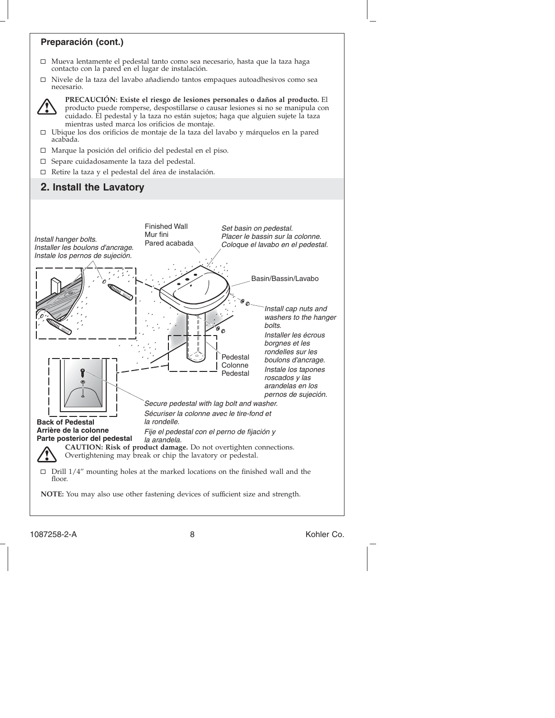#### **Preparación (cont.)**

- Mueva lentamente el pedestal tanto como sea necesario, hasta que la taza haga contacto con la pared en el lugar de instalación.
- $\Box$ Nivele de la taza del lavabo añadiendo tantos empaques autoadhesivos como sea necesario.



**PRECAUCIÓN: Existe el riesgo de lesiones personales o daños al producto.** El producto puede romperse, despostillarse o causar lesiones si no se manipula con cuidado. El pedestal y la taza no están sujetos; haga que alguien sujete la taza mientras usted marca los orificios de montaje.

- Ubique los dos orificios de montaje de la taza del lavabo y márquelos en la pared acabada.
- Marque la posición del orificio del pedestal en el piso.
- $\Box$ Separe cuidadosamente la taza del pedestal.
- $\Box$ Retire la taza y el pedestal del área de instalación.

## **2. Install the Lavatory**

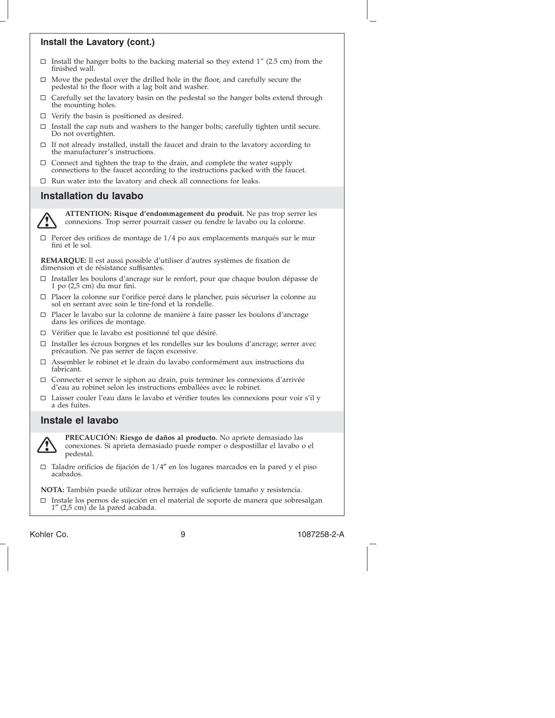#### **Install the Lavatory (cont.)**

- $\square$  Install the hanger bolts to the backing material so they extend 1" (2.5 cm) from the finished wall.
- $\Box$ Move the pedestal over the drilled hole in the floor, and carefully secure the pedestal to the floor with a lag bolt and washer.
- $\Box$ Carefully set the lavatory basin on the pedestal so the hanger bolts extend through the mounting holes.
- $\Box$  Verify the basin is positioned as desired.
- Install the cap nuts and washers to the hanger bolts; carefully tighten until secure.  $\Box$ Do not overtighten.
- $\Box$ If not already installed, install the faucet and drain to the lavatory according to the manufacturer's instructions.
- $\Box$ Connect and tighten the trap to the drain, and complete the water supply connections to the faucet according to the instructions packed with the faucet.
- $\Box$ Run water into the lavatory and check all connections for leaks.

## **Installation du lavabo**



**ATTENTION: Risque d'endommagement du produit.** Ne pas trop serrer les connexions. Trop serrer pourrait casser ou fendre le lavabo ou la colonne.

 $\Box$ Percer des orifices de montage de 1/4 po aux emplacements marqués sur le mur fini et le sol.

**REMARQUE:** Il est aussi possible d'utiliser d'autres systèmes de fixation de dimension et de résistance suffisantes.

- $\Box$ Installer les boulons d'ancrage sur le renfort, pour que chaque boulon dépasse de 1 po (2,5 cm) du mur fini.
- $\Box$ Placer la colonne sur l'orifice percé dans le plancher, puis sécuriser la colonne au sol en serrant avec soin le tire-fond et la rondelle.
- $\Box$ Placer le lavabo sur la colonne de manière à faire passer les boulons d'ancrage dans les orifices de montage.
- $\Box$ Vérifier que le lavabo est positionné tel que désiré.
- Installer les écrous borgnes et les rondelles sur les boulons d'ancrage; serrer avec  $\Box$ précaution. Ne pas serrer de façon excessive.
- $\Box$ Assembler le robinet et le drain du lavabo conformément aux instructions du fabricant.
- $\Box$ Connecter et serrer le siphon au drain, puis terminer les connexions d'arrivée d'eau au robinet selon les instructions emballées avec le robinet.
- Laisser couler l'eau dans le lavabo et vérifier toutes les connexions pour voir s'il y  $\Box$ a des fuites.

#### **Instale el lavabo**

**PRECAUCIÓN: Riesgo de daños al producto.** No apriete demasiado las conexiones. Si aprieta demasiado puede romper o despostillar el lavabo o el pedestal.

 $\Box$  Taladre orificios de fijación de 1/4" en los lugares marcados en la pared y el piso acabados.

**NOTA:** También puede utilizar otros herrajes de suficiente tamaño y resistencia.

Instale los pernos de sujeción en el material de soporte de manera que sobresalgan  $\Box$ 1" (2,5 cm) de la pared acabada.

Kohler Co. 2008. **9 1087258-2-A**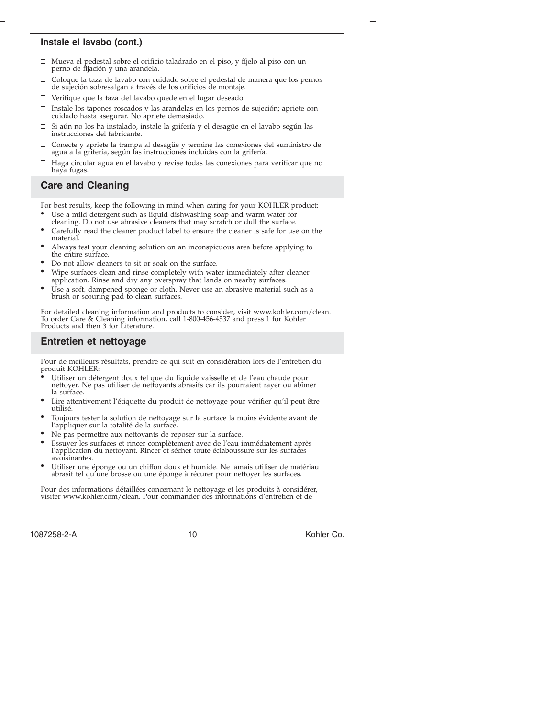#### **Instale el lavabo (cont.)**

- Mueva el pedestal sobre el orificio taladrado en el piso, y fíjelo al piso con un perno de fijación y una arandela.
- $\Box$ Coloque la taza de lavabo con cuidado sobre el pedestal de manera que los pernos de sujeción sobresalgan a través de los orificios de montaje.
- Verifique que la taza del lavabo quede en el lugar deseado.
- $\Box$ Instale los tapones roscados y las arandelas en los pernos de sujeción; apriete con cuidado hasta asegurar. No apriete demasiado.
- Si aún no los ha instalado, instale la grifería y el desagüe en el lavabo según las  $\Box$ instrucciones del fabricante.
- $\Box$ Conecte y apriete la trampa al desagüe y termine las conexiones del suministro de agua a la grifería, según las instrucciones incluidas con la grifería.
- $\Box$ Haga circular agua en el lavabo y revise todas las conexiones para verificar que no haya fugas.

## **Care and Cleaning**

For best results, keep the following in mind when caring for your KOHLER product:

- Use a mild detergent such as liquid dishwashing soap and warm water for cleaning. Do not use abrasive cleaners that may scratch or dull the surface.
- Carefully read the cleaner product label to ensure the cleaner is safe for use on the material.
- Always test your cleaning solution on an inconspicuous area before applying to the entire surface.
- Do not allow cleaners to sit or soak on the surface.
- Wipe surfaces clean and rinse completely with water immediately after cleaner application. Rinse and dry any overspray that lands on nearby surfaces.
- Use a soft, dampened sponge or cloth. Never use an abrasive material such as a brush or scouring pad to clean surfaces.

For detailed cleaning information and products to consider, visit www.kohler.com/clean. To order Care & Cleaning information, call 1-800-456-4537 and press 1 for Kohler Products and then 3 for Literature.

## **Entretien et nettoyage**

Pour de meilleurs résultats, prendre ce qui suit en considération lors de l'entretien du produit KOHLER:

- Utiliser un détergent doux tel que du liquide vaisselle et de l'eau chaude pour nettoyer. Ne pas utiliser de nettoyants abrasifs car ils pourraient rayer ou abîmer la surface.
- Lire attentivement l'étiquette du produit de nettoyage pour vérifier qu'il peut être utilisé.
- Toujours tester la solution de nettoyage sur la surface la moins évidente avant de l'appliquer sur la totalité de la surface.
- Ne pas permettre aux nettoyants de reposer sur la surface.
- Essuyer les surfaces et rincer complètement avec de l'eau immédiatement après l'application du nettoyant. Rincer et sécher toute éclaboussure sur les surfaces avoisinantes.
- Utiliser une éponge ou un chiffon doux et humide. Ne jamais utiliser de matériau abrasif tel qu'une brosse ou une éponge à récurer pour nettoyer les surfaces.

Pour des informations détaillées concernant le nettoyage et les produits à considérer, visiter www.kohler.com/clean. Pour commander des informations d'entretien et de

1087258-2-A 10 10 Kohler Co.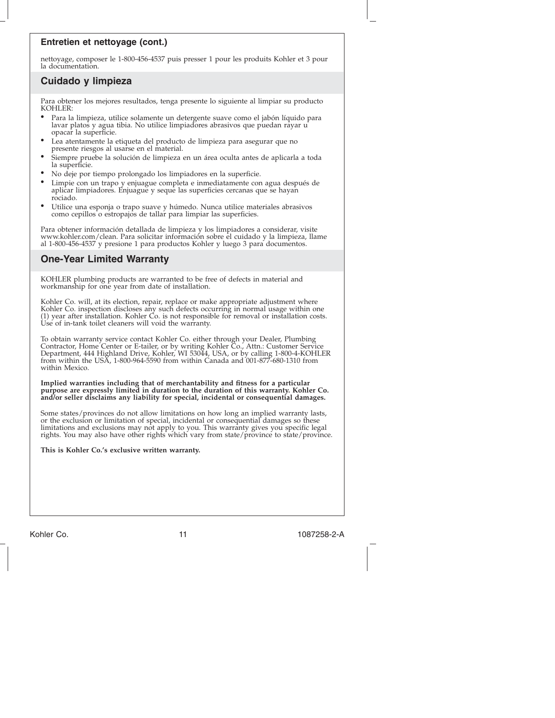#### **Entretien et nettoyage (cont.)**

nettoyage, composer le 1-800-456-4537 puis presser 1 pour les produits Kohler et 3 pour la documentation.

#### **Cuidado y limpieza**

Para obtener los mejores resultados, tenga presente lo siguiente al limpiar su producto KOHLER:

- Para la limpieza, utilice solamente un detergente suave como el jabón líquido para lavar platos y agua tibia. No utilice limpiadores abrasivos que puedan rayar u opacar la superficie.
- Lea atentamente la etiqueta del producto de limpieza para asegurar que no presente riesgos al usarse en el material.
- Siempre pruebe la solución de limpieza en un área oculta antes de aplicarla a toda la superficie.
- No deje por tiempo prolongado los limpiadores en la superficie.
- Limpie con un trapo y enjuague completa e inmediatamente con agua después de aplicar limpiadores. Enjuague y seque las superficies cercanas que se hayan rociado.
- Utilice una esponja o trapo suave y húmedo. Nunca utilice materiales abrasivos como cepillos o estropajos de tallar para limpiar las superficies.

Para obtener información detallada de limpieza y los limpiadores a considerar, visite www.kohler.com/clean. Para solicitar información sobre el cuidado y la limpieza, llame al 1-800-456-4537 y presione 1 para productos Kohler y luego 3 para documentos.

## **One-Year Limited Warranty**

KOHLER plumbing products are warranted to be free of defects in material and workmanship for one year from date of installation.

Kohler Co. will, at its election, repair, replace or make appropriate adjustment where Kohler Co. inspection discloses any such defects occurring in normal usage within one (1) year after installation. Kohler Co. is not responsible for removal or installation costs. Use of in-tank toilet cleaners will void the warranty.

To obtain warranty service contact Kohler Co. either through your Dealer, Plumbing Contractor, Home Center or E-tailer, or by writing Kohler Co., Attn.: Customer Service<br>Department, 444 Highland Drive, Kohler, WI 53044, USA, or by calling 1-800-4-KOHLER<br>from within the USA, 1-800-964-5590 from within Can within Mexico.

Implied warranties including that of merchantability and fitness for a particular<br>purpose are expressly limited in duration to the duration of this warranty. Kohler Co.<br>and/or seller disclaims any liability for special, in

Some states/provinces do not allow limitations on how long an implied warranty lasts, or the exclusion or limitation of special, incidental or consequential damages so these limitations and exclusions may not apply to you. This warranty gives you specific legal rights. You may also have other rights which vary from state/province to state/province.

**This is Kohler Co.'s exclusive written warranty.**

Kohler Co. 2008. 2009. 2009. 2010. 2011. 2012. 2014. 2012. 2013. 2014. 2014. 2015. 2016. 2016. 2016. 2016. 201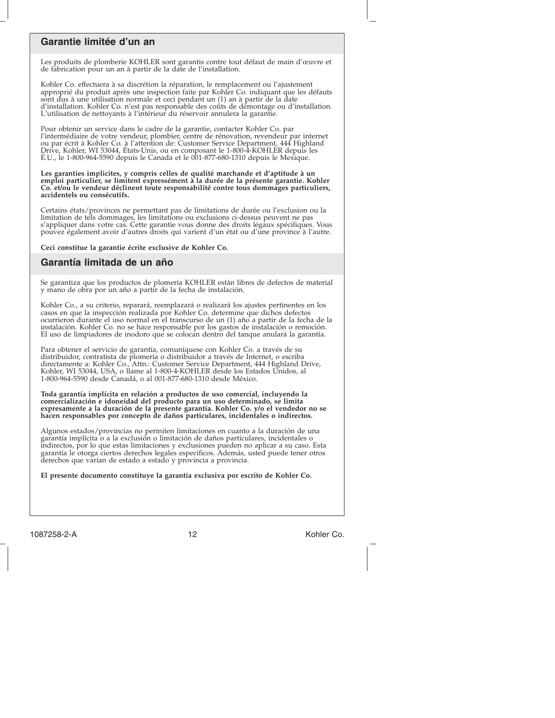#### **Garantie limitée d'un an**

Les produits de plomberie KOHLER sont garantis contre tout défaut de main d'œuvre et de fabrication pour un an à partir de la date de l'installation.

Kohler Co. effectuera à sa discrétion la réparation, le remplacement ou l'ajustement approprié du produit après une inspection faite par Kohler Co. indiquant que les défauts sont dus à une utilisation normale et ceci pendant un (1) an à partir de la date d'installation. Kohler Co. n'est pas responsable des coûts de démontage ou d'installation. L'utilisation de nettoyants à l'intérieur du réservoir annulera la garantie.

Pour obtenir un service dans le cadre de la garantie, contacter Kohler Co. par l'intermédiaire de votre vendeur, plombier, centre de rénovation, revendeur par internet ou par écrit à Kohler Co. à l'attention de: Customer Service Department, 444 Highland Drive, Kohler, WI 53044, États-Unis, ou en composant le 1-800-4-KOHLER depuis les É.U., le 1-800-964-5590 depuis le Canada et le 001-877-680-1310 depuis le Mexique.

**Les garanties implicites, y compris celles de qualité marchande et d'aptitude à un emploi particulier, se limitent expressément à la durée de la présente garantie. Kohler Co. et/ou le vendeur déclinent toute responsabilité contre tous dommages particuliers, accidentels ou consécutifs.**

Certains états/provinces ne permettant pas de limitations de durée ou l'exclusion ou la limitation de tels dommages, les limitations ou exclusions ci-dessus peuvent ne pas<br>s'appliquer dans votre cas. Cette garantie vous donne des droits légaux spécifiques. Vous<br>pouvez également avoir d'autres droits qui varie

**Ceci constitue la garantie écrite exclusive de Kohler Co.**

#### **Garantía limitada de un año**

Se garantiza que los productos de plomería KOHLER están libres de defectos de material y mano de obra por un año a partir de la fecha de instalación.

Kohler Co., a su criterio, reparará, reemplazará o realizará los ajustes pertinentes en los casos en que la inspección realizada por Kohler Co. determine que dichos defectos ocurrieron durante el uso normal en el transcurso de un (1) año a partir de la fecha de la instalación. Kohler Co. no se hace responsable por los gastos de instalación o remoción. El uso de limpiadores de inodoro que se colocan dentro del tanque anulará la garantía.

Para obtener el servicio de garantía, comuníquese con Kohler Co. a través de su distribuidor, contratista de plomería o distribuidor a través de Internet, o escriba directamente a: Kohler Co., Attn.: Customer Service Department, 444 Highland Drive, Kohler, WI 53044, USA, o llame al 1-800-4-KOHLER desde los Estados Unidos, al 1-800-964-5590 desde Canadá, o al 001-877-680-1310 desde México.

**Toda garantía implícita en relación a productos de uso comercial, incluyendo la comercialización e idoneidad del producto para un uso determinado, se limita expresamente a la duración de la presente garantía. Kohler Co. y/o el vendedor no se hacen responsables por concepto de daños particulares, incidentales o indirectos.**

Algunos estados/provincias no permiten limitaciones en cuanto a la duración de una garantía implícita o a la exclusión o limitación de daños particulares, incidentales o indirectos, por lo que estas limitaciones y exclusiones pueden no aplicar a su caso. Esta<br>garantía le otorga ciertos derechos legales específicos. Además, usted puede tener otros<br>derechos que varían de estado a estado y pr

**El presente documento constituye la garantía exclusiva por escrito de Kohler Co.**

1087258-2-A 12 Kohler Co.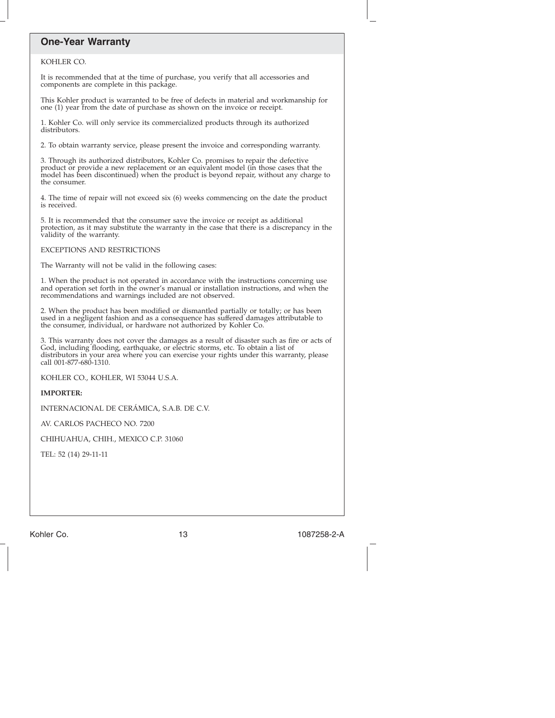## **One-Year Warranty**

#### KOHLER CO.

It is recommended that at the time of purchase, you verify that all accessories and components are complete in this package.

This Kohler product is warranted to be free of defects in material and workmanship for one (1) year from the date of purchase as shown on the invoice or receipt.

1. Kohler Co. will only service its commercialized products through its authorized distributors.

2. To obtain warranty service, please present the invoice and corresponding warranty.

3. Through its authorized distributors, Kohler Co. promises to repair the defective<br>product or provide a new replacement or an equivalent model (in those cases that the<br>model has been discontinued) when the product is beyo the consumer.

4. The time of repair will not exceed six (6) weeks commencing on the date the product is received.

5. It is recommended that the consumer save the invoice or receipt as additional protection, as it may substitute the warranty in the case that there is a discrepancy in the validity of the warranty.

EXCEPTIONS AND RESTRICTIONS

The Warranty will not be valid in the following cases:

1. When the product is not operated in accordance with the instructions concerning use and operation set forth in the owner's manual or installation instructions, and when the recommendations and warnings included are not observed.

2. When the product has been modified or dismantled partially or totally; or has been used in a negligent fashion and as a consequence has suffered damages attributable to the consumer, individual, or hardware not authorized by Kohler Co.

3. This warranty does not cover the damages as a result of disaster such as fire or acts of God, including flooding, earthquake, or electric storms, etc. To obtain a list of distributors in your area where you can exercise your rights under this warranty, please call 001-877-680-1310.

KOHLER CO., KOHLER, WI 53044 U.S.A.

**IMPORTER:**

INTERNACIONAL DE CERÁMICA, S.A.B. DE C.V.

AV. CARLOS PACHECO NO. 7200

CHIHUAHUA, CHIH., MEXICO C.P. 31060

TEL: 52 (14) 29-11-11

Kohler Co. 2008. 2009. [13 13] The Model of the May 2010 1087258-2-A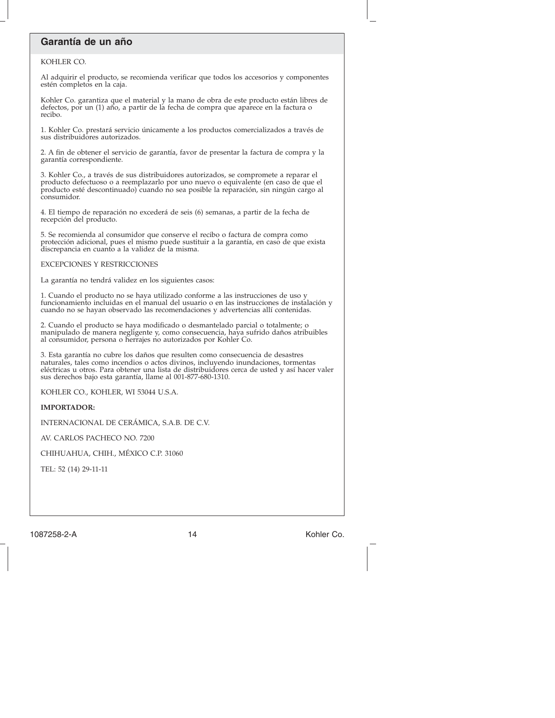#### **Garantía de un año**

#### KOHLER CO.

Al adquirir el producto, se recomienda verificar que todos los accesorios y componentes estén completos en la caja.

Kohler Co. garantiza que el material y la mano de obra de este producto están libres de defectos, por un (1) año, a partir de la fecha de compra que aparece en la factura o recibo.

1. Kohler Co. prestará servicio únicamente a los productos comercializados a través de sus distribuidores autorizados.

2. A fin de obtener el servicio de garantía, favor de presentar la factura de compra y la garantía correspondiente.

3. Kohler Co., a través de sus distribuidores autorizados, se compromete a reparar el producto defectuoso o a reemplazarlo por uno nuevo o equivalente (en caso de que el producto esté descontinuado) cuando no sea posible la reparación, sin ningún cargo al consumidor.

4. El tiempo de reparación no excederá de seis (6) semanas, a partir de la fecha de recepción del producto.

5. Se recomienda al consumidor que conserve el recibo o factura de compra como protección adicional, pues el mismo puede sustituir a la garantía, en caso de que exista discrepancia en cuanto a la validez de la misma.

#### EXCEPCIONES Y RESTRICCIONES

La garantía no tendrá validez en los siguientes casos:

1. Cuando el producto no se haya utilizado conforme a las instrucciones de uso y funcionamiento incluidas en el manual del usuario o en las instrucciones de instalación y cuando no se hayan observado las recomendaciones y advertencias allí contenidas.

2. Cuando el producto se haya modificado o desmantelado parcial o totalmente; o manipulado de manera negligente y, como consecuencia, haya sufrido daños atribuibles al consumidor, persona o herrajes no autorizados por Kohler Co.

3. Esta garantía no cubre los daños que resulten como consecuencia de desastres<br>naturales, tales como incendios o actos divinos, incluyendo inundaciones, tormentas<br>eléctricas u otros. Para obtener una lista de distribuidor sus derechos bajo esta garantía, llame al 001-877-680-1310.

KOHLER CO., KOHLER, WI 53044 U.S.A.

#### **IMPORTADOR:**

INTERNACIONAL DE CERÁMICA, S.A.B. DE C.V.

AV. CARLOS PACHECO NO. 7200

CHIHUAHUA, CHIH., MÉXICO C.P. 31060

TEL: 52 (14) 29-11-11

1087258-2-A 14 Kohler Co.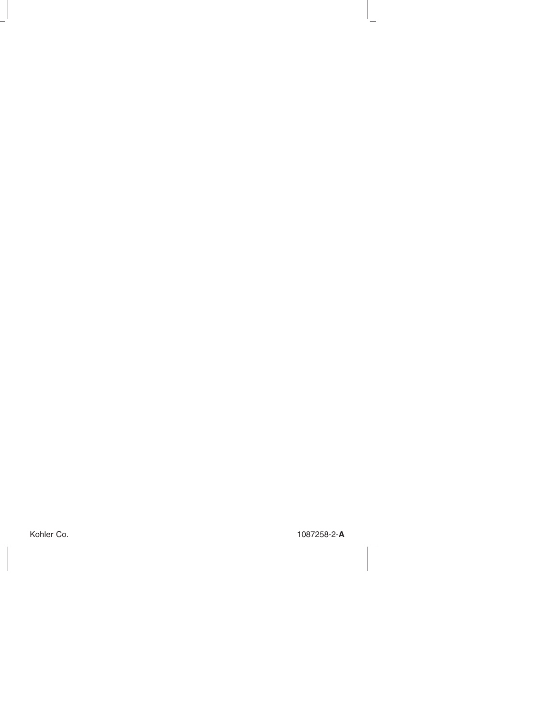Kohler Co. 1087258-2-**A**